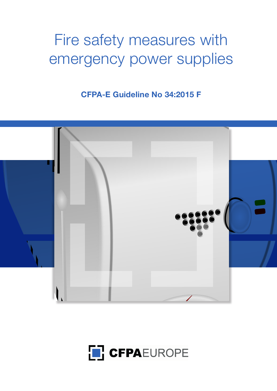# Fire safety measures with emergency power supplies

**CFPA-E Guideline No 34:2015 F**



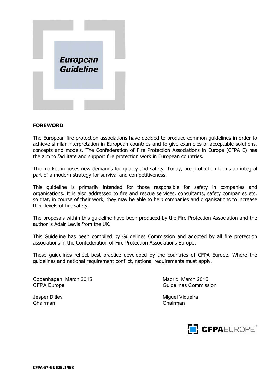

#### **FOREWORD**

The European fire protection associations have decided to produce common guidelines in order to achieve similar interpretation in European countries and to give examples of acceptable solutions, concepts and models. The Confederation of Fire Protection Associations in Europe (CFPA E) has the aim to facilitate and support fire protection work in European countries.

The market imposes new demands for quality and safety. Today, fire protection forms an integral part of a modern strategy for survival and competitiveness.

This guideline is primarily intended for those responsible for safety in companies and organisations. It is also addressed to fire and rescue services, consultants, safety companies etc. so that, in course of their work, they may be able to help companies and organisations to increase their levels of fire safety.

The proposals within this guideline have been produced by the Fire Protection Association and the author is Adair Lewis from the UK.

This Guideline has been compiled by Guidelines Commission and adopted by all fire protection associations in the Confederation of Fire Protection Associations Europe.

These guidelines reflect best practice developed by the countries of CFPA Europe. Where the guidelines and national requirement conflict, national requirements must apply.

Copenhagen, March 2015 Madrid, March 2015 CFPA Europe Guidelines Commission

Jesper Ditlev Miguel Vidueira<br>Chairman Chairman Chairman

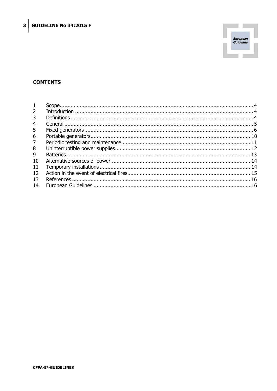

## **CONTENTS**

| $\overline{2}$ |  |
|----------------|--|
| 3              |  |
| $\overline{4}$ |  |
| 5              |  |
| 6              |  |
| $\overline{7}$ |  |
| 8              |  |
| 9              |  |
| 10             |  |
| 11             |  |
| 12             |  |
| 13             |  |
| 14             |  |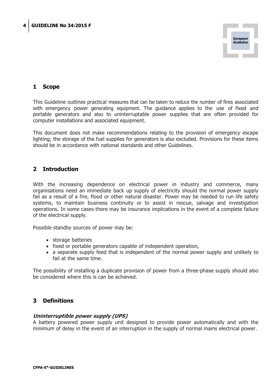

## **1 Scope**

This Guideline outlines practical measures that can be taken to reduce the number of fires associated with emergency power generating equipment. The guidance applies to the use of fixed and portable generators and also to uninterruptable power supplies that are often provided for computer installations and associated equipment.

This document does not make recommendations relating to the provision of emergency escape lighting; the storage of the fuel supplies for generators is also excluded. Provisions for these items should be in accordance with national standards and other Guidelines.

## **2 Introduction**

With the increasing dependence on electrical power in industry and commerce, many organisations need an immediate back up supply of electricity should the normal power supply fail as a result of a fire, flood or other natural disaster. Power may be needed to run life safety systems, to maintain business continuity or to assist in rescue, salvage and investigation operations. In some cases there may be insurance implications in the event of a complete failure of the electrical supply.

Possible standby sources of power may be:

- storage batteries
- fixed or portable generators capable of independent operation,
- a separate supply feed that is independent of the normal power supply and unlikely to fail at the same time.

The possibility of installing a duplicate provision of power from a three-phase supply should also be considered where this is can be achieved.

## **3 Definitions**

#### **Uninterruptible power supply (UPS)**

A battery powered power supply unit designed to provide power automatically and with the minimum of delay in the event of an interruption in the supply of normal mains electrical power.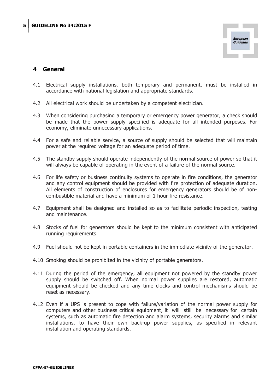

## **4 General**

- 4.1 Electrical supply installations, both temporary and permanent, must be installed in accordance with national legislation and appropriate standards.
- 4.2 All electrical work should be undertaken by a competent electrician.
- 4.3 When considering purchasing a temporary or emergency power generator, a check should be made that the power supply specified is adequate for all intended purposes. For economy, eliminate unnecessary applications.
- 4.4 For a safe and reliable service, a source of supply should be selected that will maintain power at the required voltage for an adequate period of time.
- 4.5 The standby supply should operate independently of the normal source of power so that it will always be capable of operating in the event of a failure of the normal source.
- 4.6 For life safety or business continuity systems to operate in fire conditions, the generator and any control equipment should be provided with fire protection of adequate duration. All elements of construction of enclosures for emergency generators should be of noncombustible material and have a minimum of 1 hour fire resistance.
- 4.7 Equipment shall be designed and installed so as to facilitate periodic inspection, testing and maintenance.
- 4.8 Stocks of fuel for generators should be kept to the minimum consistent with anticipated running requirements.
- 4.9 Fuel should not be kept in portable containers in the immediate vicinity of the generator.
- 4.10 Smoking should be prohibited in the vicinity of portable generators.
- 4.11 During the period of the emergency, all equipment not powered by the standby power supply should be switched off. When normal power supplies are restored, automatic equipment should be checked and any time clocks and control mechanisms should be reset as necessary.
- 4.12 Even if a UPS is present to cope with failure/variation of the normal power supply for computers and other business critical equipment, it will still be necessary for certain systems, such as automatic fire detection and alarm systems, security alarms and similar installations, to have their own back-up power supplies, as specified in relevant installation and operating standards.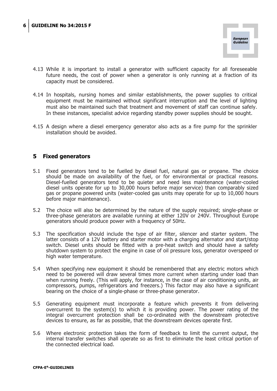

- 4.13 While it is important to install a generator with sufficient capacity for all foreseeable future needs, the cost of power when a generator is only running at a fraction of its capacity must be considered.
- 4.14 In hospitals, nursing homes and similar establishments, the power supplies to critical equipment must be maintained without significant interruption and the level of lighting must also be maintained such that treatment and movement of staff can continue safely. In these instances, specialist advice regarding standby power supplies should be sought.
- 4.15 A design where a diesel emergency generator also acts as a fire pump for the sprinkler installation should be avoided.

## **5 Fixed generators**

- 5.1 Fixed generators tend to be fuelled by diesel fuel, natural gas or propane. The choice should be made on availability of the fuel, or for environmental or practical reasons. Diesel-fuelled generators tend to be quieter and need less maintenance (water-cooled diesel units operate for up to 30,000 hours before major service) than comparably sized gas or propane powered units (water-cooled gas units may operate for up to 10,000 hours before major maintenance).
- 5.2 The choice will also be determined by the nature of the supply required; single-phase or three-phase generators are available running at either 120V or 240V. Throughout Europe generators should produce power with a frequency of 50Hz.
- 5.3 The specification should include the type of air filter, silencer and starter system. The latter consists of a 12V battery and starter motor with a charging alternator and start/stop switch. Diesel units should be fitted with a pre-heat switch and should have a safety shutdown system to protect the engine in case of oil pressure loss, generator overspeed or high water temperature.
- 5.4 When specifying new equipment it should be remembered that any electric motors which need to be powered will draw several times more current when starting under load than when running freely. (This will apply, for instance, in the case of air conditioning units, air compressors, pumps, refrigerators and freezers.) This factor may also have a significant bearing on the choice of a single-phase or three-phase generator.
- 5.5 Generating equipment must incorporate a feature which prevents it from delivering overcurrent to the system(s) to which it is providing power. The power rating of the integral overcurrent protection shall be co-ordinated with the downstream protective devices to ensure, as far as possible, that the downstream devices operate first.
- 5.6 Where electronic protection takes the form of feedback to limit the current output, the internal transfer switches shall operate so as first to eliminate the least critical portion of the connected electrical load.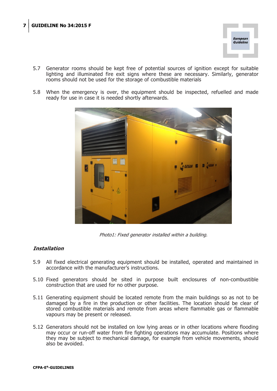

- 5.7 Generator rooms should be kept free of potential sources of ignition except for suitable lighting and illuminated fire exit signs where these are necessary. Similarly, generator rooms should not be used for the storage of combustible materials
- 5.8 When the emergency is over, the equipment should be inspected, refuelled and made ready for use in case it is needed shortly afterwards.



Photo1: Fixed generator installed within a building.

## **Installation**

- 5.9 All fixed electrical generating equipment should be installed, operated and maintained in accordance with the manufacturer's instructions.
- 5.10 Fixed generators should be sited in purpose built enclosures of non-combustible construction that are used for no other purpose.
- 5.11 Generating equipment should be located remote from the main buildings so as not to be damaged by a fire in the production or other facilities. The location should be clear of stored combustible materials and remote from areas where flammable gas or flammable vapours may be present or released.
- 5.12 Generators should not be installed on low lying areas or in other locations where flooding may occur or run-off water from fire fighting operations may accumulate. Positions where they may be subject to mechanical damage, for example from vehicle movements, should also be avoided.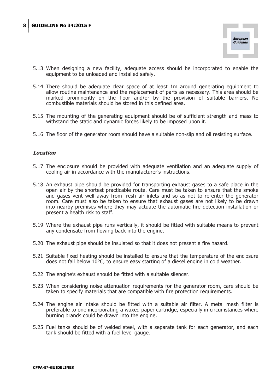

- 5.13 When designing a new facility, adequate access should be incorporated to enable the equipment to be unloaded and installed safely.
- 5.14 There should be adequate clear space of at least 1m around generating equipment to allow routine maintenance and the replacement of parts as necessary. This area should be marked prominently on the floor and/or by the provision of suitable barriers. No combustible materials should be stored in this defined area.
- 5.15 The mounting of the generating equipment should be of sufficient strength and mass to withstand the static and dynamic forces likely to be imposed upon it.
- 5.16 The floor of the generator room should have a suitable non-slip and oil resisting surface.

#### **Location**

- 5.17 The enclosure should be provided with adequate ventilation and an adequate supply of cooling air in accordance with the manufacturer's instructions.
- 5.18 An exhaust pipe should be provided for transporting exhaust gases to a safe place in the open air by the shortest practicable route. Care must be taken to ensure that the smoke and gases vent well away from fresh air inlets and so as not to re-enter the generator room. Care must also be taken to ensure that exhaust gases are not likely to be drawn into nearby premises where they may actuate the automatic fire detection installation or present a health risk to staff.
- 5.19 Where the exhaust pipe runs vertically, it should be fitted with suitable means to prevent any condensate from flowing back into the engine.
- 5.20 The exhaust pipe should be insulated so that it does not present a fire hazard.
- 5.21 Suitable fixed heating should be installed to ensure that the temperature of the enclosure does not fall below 10°C, to ensure easy starting of a diesel engine in cold weather.
- 5.22 The engine's exhaust should be fitted with a suitable silencer.
- 5.23 When considering noise attenuation requirements for the generator room, care should be taken to specify materials that are compatible with fire protection requirements.
- 5.24 The engine air intake should be fitted with a suitable air filter. A metal mesh filter is preferable to one incorporating a waxed paper cartridge, especially in circumstances where burning brands could be drawn into the engine.
- 5.25 Fuel tanks should be of welded steel, with a separate tank for each generator, and each tank should be fitted with a fuel level gauge.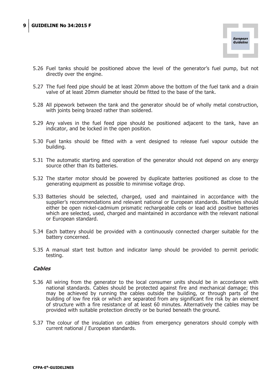

- 5.26 Fuel tanks should be positioned above the level of the generator's fuel pump, but not directly over the engine.
- 5.27 The fuel feed pipe should be at least 20mm above the bottom of the fuel tank and a drain valve of at least 20mm diameter should be fitted to the base of the tank.
- 5.28 All pipework between the tank and the generator should be of wholly metal construction, with joints being brazed rather than soldered.
- 5.29 Any valves in the fuel feed pipe should be positioned adjacent to the tank, have an indicator, and be locked in the open position.
- 5.30 Fuel tanks should be fitted with a vent designed to release fuel vapour outside the building.
- 5.31 The automatic starting and operation of the generator should not depend on any energy source other than its batteries.
- 5.32 The starter motor should be powered by duplicate batteries positioned as close to the generating equipment as possible to minimise voltage drop.
- 5.33 Batteries should be selected, charged, used and maintained in accordance with the supplier's recommendations and relevant national or European standards. Batteries should either be open nickel-cadmium prismatic rechargeable cells or lead acid positive batteries which are selected, used, charged and maintained in accordance with the relevant national or European standard.
- 5.34 Each battery should be provided with a continuously connected charger suitable for the battery concerned.
- 5.35 A manual start test button and indicator lamp should be provided to permit periodic testing.

#### **Cables**

- 5.36 All wiring from the generator to the local consumer units should be in accordance with national standards. Cables should be protected against fire and mechanical damage; this may be achieved by running the cables outside the building, or through parts of the building of low fire risk or which are separated from any significant fire risk by an element of structure with a fire resistance of at least 60 minutes. Alternatively the cables may be provided with suitable protection directly or be buried beneath the ground.
- 5.37 The colour of the insulation on cables from emergency generators should comply with current national / European standards.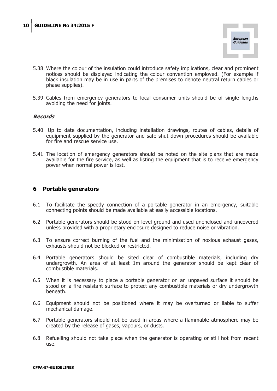

- 5.38 Where the colour of the insulation could introduce safety implications, clear and prominent notices should be displayed indicating the colour convention employed. (For example if black insulation may be in use in parts of the premises to denote neutral return cables or phase supplies).
- 5.39 Cables from emergency generators to local consumer units should be of single lengths avoiding the need for joints.

#### **Records**

- 5.40 Up to date documentation, including installation drawings, routes of cables, details of equipment supplied by the generator and safe shut down procedures should be available for fire and rescue service use.
- 5.41 The location of emergency generators should be noted on the site plans that are made available for the fire service, as well as listing the equipment that is to receive emergency power when normal power is lost.

#### **6 Portable generators**

- 6.1 To facilitate the speedy connection of a portable generator in an emergency, suitable connecting points should be made available at easily accessible locations.
- 6.2 Portable generators should be stood on level ground and used unenclosed and uncovered unless provided with a proprietary enclosure designed to reduce noise or vibration.
- 6.3 To ensure correct burning of the fuel and the minimisation of noxious exhaust gases, exhausts should not be blocked or restricted.
- 6.4 Portable generators should be sited clear of combustible materials, including dry undergrowth. An area of at least 1m around the generator should be kept clear of combustible materials.
- 6.5 When it is necessary to place a portable generator on an unpaved surface it should be stood on a fire resistant surface to protect any combustible materials or dry undergrowth beneath.
- 6.6 Equipment should not be positioned where it may be overturned or liable to suffer mechanical damage.
- 6.7 Portable generators should not be used in areas where a flammable atmosphere may be created by the release of gases, vapours, or dusts.
- 6.8 Refuelling should not take place when the generator is operating or still hot from recent use.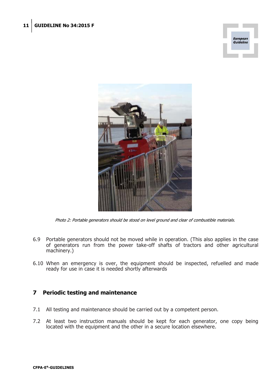



Photo 2: Portable generators should be stood on level ground and clear of combustible materials.

- 6.9 Portable generators should not be moved while in operation. (This also applies in the case of generators run from the power take-off shafts of tractors and other agricultural machinery.)
- 6.10 When an emergency is over, the equipment should be inspected, refuelled and made ready for use in case it is needed shortly afterwards

## **7 Periodic testing and maintenance**

- 7.1 All testing and maintenance should be carried out by a competent person.
- 7.2 At least two instruction manuals should be kept for each generator, one copy being located with the equipment and the other in a secure location elsewhere.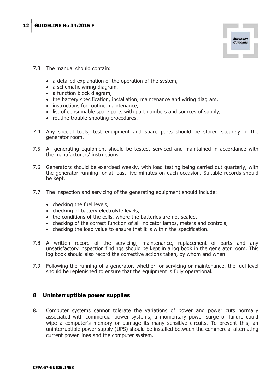

- 7.3 The manual should contain:
	- a detailed explanation of the operation of the system,
	- $\bullet$  a schematic wiring diagram,
	- a function block diagram,
	- the battery specification, installation, maintenance and wiring diagram,
	- instructions for routine maintenance,
	- $\bullet$  list of consumable spare parts with part numbers and sources of supply,
	- routine trouble-shooting procedures.
- 7.4 Any special tools, test equipment and spare parts should be stored securely in the generator room.
- 7.5 All generating equipment should be tested, serviced and maintained in accordance with the manufacturers' instructions.
- 7.6 Generators should be exercised weekly, with load testing being carried out quarterly, with the generator running for at least five minutes on each occasion. Suitable records should be kept.
- 7.7 The inspection and servicing of the generating equipment should include:
	- $\bullet$  checking the fuel levels,
	- checking of battery electrolyte levels,
	- $\bullet$  the conditions of the cells, where the batteries are not sealed,
	- checking of the correct function of all indicator lamps, meters and controls,
	- checking the load value to ensure that it is within the specification.
- 7.8 A written record of the servicing, maintenance, replacement of parts and any unsatisfactory inspection findings should be kept in a log book in the generator room. This log book should also record the corrective actions taken, by whom and when.
- 7.9 Following the running of a generator, whether for servicing or maintenance, the fuel level should be replenished to ensure that the equipment is fully operational.

## **8 Uninterruptible power supplies**

8.1 Computer systems cannot tolerate the variations of power and power cuts normally associated with commercial power systems; a momentary power surge or failure could wipe a computer's memory or damage its many sensitive circuits. To prevent this, an uninterruptible power supply (UPS) should be installed between the commercial alternating current power lines and the computer system.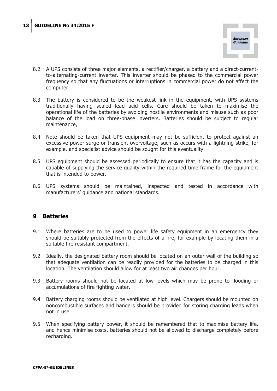

- 8.2 A UPS consists of three major elements, a rectifier/charger, a battery and a direct-currentto-alternating-current inverter. This inverter should be phased to the commercial power frequency so that any fluctuations or interruptions in commercial power do not affect the computer.
- 8.3 The battery is considered to be the weakest link in the equipment, with UPS systems traditionally having sealed lead acid cells. Care should be taken to maximise the operational life of the batteries by avoiding hostile environments and misuse such as poor balance of the load on three-phase inverters. Batteries should be subject to regular maintenance,
- 8.4 Note should be taken that UPS equipment may not be sufficient to protect against an excessive power surge or transient overvoltage, such as occurs with a lightning strike, for example, and specialist advice should be sought for this eventuality.
- 8.5 UPS equipment should be assessed periodically to ensure that it has the capacity and is capable of supplying the service quality within the required time frame for the equipment that is intended to power.
- 8.6 UPS systems should be maintained, inspected and tested in accordance with manufacturers' guidance and national standards.

## **9 Batteries**

- 9.1 Where batteries are to be used to power life safety equipment in an emergency they should be suitably protected from the effects of a fire, for example by locating them in a suitable fire resistant compartment.
- 9.2 Ideally, the designated battery room should be located on an outer wall of the building so that adequate ventilation can be readily provided for the batteries to be charged in this location. The ventilation should allow for at least two air changes per hour.
- 9.3 Battery rooms should not be located at low levels which may be prone to flooding or accumulations of fire fighting water.
- 9.4 Battery charging rooms should be ventilated at high level. Chargers should be mounted on noncombustible surfaces and hangers should be provided for storing charging leads when not in use.
- 9.5 When specifying battery power, it should be remembered that to maximise battery life, and hence minimise costs, batteries should not be allowed to discharge completely before recharging.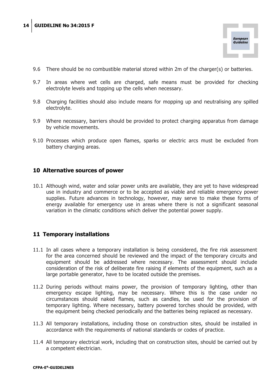

- 9.6 There should be no combustible material stored within 2m of the charger(s) or batteries.
- 9.7 In areas where wet cells are charged, safe means must be provided for checking electrolyte levels and topping up the cells when necessary.
- 9.8 Charging facilities should also include means for mopping up and neutralising any spilled electrolyte.
- 9.9 Where necessary, barriers should be provided to protect charging apparatus from damage by vehicle movements.
- 9.10 Processes which produce open flames, sparks or electric arcs must be excluded from battery charging areas.

## **10 Alternative sources of power**

10.1 Although wind, water and solar power units are available, they are yet to have widespread use in industry and commerce or to be accepted as viable and reliable emergency power supplies. Future advances in technology, however, may serve to make these forms of energy available for emergency use in areas where there is not a significant seasonal variation in the climatic conditions which deliver the potential power supply.

## **11 Temporary installations**

- 11.1 In all cases where a temporary installation is being considered, the fire risk assessment for the area concerned should be reviewed and the impact of the temporary circuits and equipment should be addressed where necessary. The assessment should include consideration of the risk of deliberate fire raising if elements of the equipment, such as a large portable generator, have to be located outside the premises.
- 11.2 During periods without mains power, the provision of temporary lighting, other than emergency escape lighting, may be necessary. Where this is the case under no circumstances should naked flames, such as candles, be used for the provision of temporary lighting. Where necessary, battery powered torches should be provided, with the equipment being checked periodically and the batteries being replaced as necessary.
- 11.3 All temporary installations, including those on construction sites, should be installed in accordance with the requirements of national standards or codes of practice.
- 11.4 All temporary electrical work, including that on construction sites, should be carried out by a competent electrician.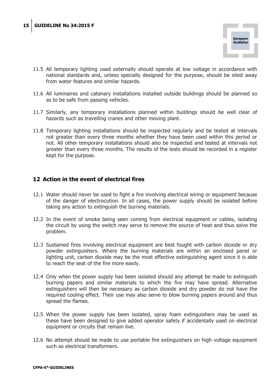

- 11.5 All temporary lighting used externally should operate at low voltage in accordance with national standards and, unless specially designed for the purpose, should be sited away from water features and similar hazards.
- 11.6 All luminaires and catenary installations installed outside buildings should be planned so as to be safe from passing vehicles.
- 11.7 Similarly, any temporary installations planned within buildings should be well clear of hazards such as travelling cranes and other moving plant.
- 11.8 Temporary lighting installations should be inspected regularly and be tested at intervals not greater than every three months whether they have been used within this period or not. All other temporary installations should also be inspected and tested at intervals not greater than every three months. The results of the tests should be recorded in a register kept for the purpose.

## **12 Action in the event of electrical fires**

- 12.1 Water should never be used to fight a fire involving electrical wiring or equipment because of the danger of electrocution. In all cases, the power supply should be isolated before taking any action to extinguish the burning materials.
- 12.2 In the event of smoke being seen coming from electrical equipment or cables, isolating the circuit by using the switch may serve to remove the source of heat and thus solve the problem.
- 12.3 Sustained fires involving electrical equipment are best fought with carbon dioxide or dry powder extinguishers. Where the burning materials are within an enclosed panel or lighting unit, carbon dioxide may be the most effective extinguishing agent since it is able to reach the seat of the fire more easily.
- 12.4 Only when the power supply has been isolated should any attempt be made to extinguish burning papers and similar materials to which the fire may have spread. Alternative extinguishers will then be necessary as carbon dioxide and dry powder do not have the required cooling effect. Their use may also serve to blow burning papers around and thus spread the flames.
- 12.5 When the power supply has been isolated, spray foam extinguishers may be used as these have been designed to give added operator safety if accidentally used on electrical equipment or circuits that remain live.
- 12.6 No attempt should be made to use portable fire extinguishers on high voltage equipment such as electrical transformers.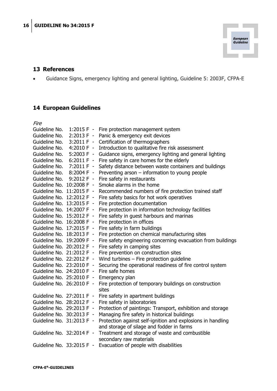

## **13 References**

x Guidance Signs, emergency lighting and general lighting, Guideline 5: 2003F, CFPA-E

## **14 European Guidelines**

| Fire                      |              |                                                                  |
|---------------------------|--------------|------------------------------------------------------------------|
| Guideline No.             | 1:2015 F -   | Fire protection management system                                |
| Guideline No.             | 2:2013 F -   | Panic & emergency exit devices                                   |
| Guideline No.             | $3:2011 F -$ | Certification of thermographers                                  |
| Guideline No.             | 4:2010 $F -$ | Introduction to qualitative fire risk assessment                 |
| Guideline No.             | $5:2003 F -$ | Guidance signs, emergency lighting and general lighting          |
| Guideline No.             | $6:2011 F -$ | Fire safety in care homes for the elderly                        |
| Guideline No.             | $7:2011 F -$ | Safety distance between waste containers and buildings           |
| Guideline No.             | 8:2004 F -   | Preventing arson - information to young people                   |
| Guideline No.             | $9:2012 F -$ | Fire safety in restaurants                                       |
| Guideline No. 10:2008 F - |              | Smoke alarms in the home                                         |
| Guideline No. 11:2015 F - |              | Recommended numbers of fire protection trained staff             |
| Guideline No. 12:2012 F - |              | Fire safety basics for hot work operatives                       |
| Guideline No. 13:2015 F - |              | Fire protection documentation                                    |
| Guideline No. 14:2007 F - |              | Fire protection in information technology facilities             |
| Guideline No. 15:2012 F - |              | Fire safety in guest harbours and marinas                        |
| Guideline No. 16:2008 F - |              | Fire protection in offices                                       |
| Guideline No. 17:2015 F - |              | Fire safety in farm buildings                                    |
| Guideline No. 18:2013 F - |              | Fire protection on chemical manufacturing sites                  |
| Guideline No. 19:2009 F - |              | Fire safety engineering concerning evacuation from buildings     |
| Guideline No. 20:2012 F - |              | Fire safety in camping sites                                     |
| Guideline No. 21:2012 F - |              | Fire prevention on construction sites                            |
| Guideline No. 22:2012 F - |              | Wind turbines $-$ Fire protection guideline                      |
| Guideline No. 23:2010 F - |              | Securing the operational readiness of fire control system        |
| Guideline No. 24:2010 F - |              | Fire safe homes                                                  |
| Guideline No. 25:2010 F - |              | Emergency plan                                                   |
| Guideline No. 26:2010 F - |              | Fire protection of temporary buildings on construction           |
| Guideline No. 27:2011 F - |              | sites<br>Fire safety in apartment buildings                      |
| Guideline No. 28:2012 F - |              | Fire safety in laboratories                                      |
| Guideline No. 29:2013 F - |              | Protection of paintings: Transport, exhibition and storage       |
| Guideline No. 30:2013 F - |              | Managing fire safety in historical buildings                     |
| Guideline No. 31:2013 F - |              | Protection against self-ignition and explosions in handling      |
|                           |              | and storage of silage and fodder in farms                        |
| Guideline No. 32:2014 F - |              | Treatment and storage of waste and combustible                   |
|                           |              | secondary raw materials                                          |
|                           |              | Guideline No. 33:2015 F - Evacuation of people with disabilities |
|                           |              |                                                                  |